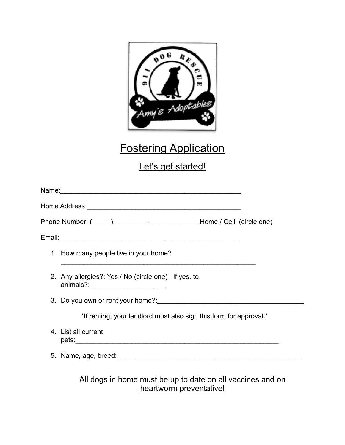

# Fostering Application

## Let's get started!

| 1. How many people live in your home?                                                     |
|-------------------------------------------------------------------------------------------|
| 2. Any allergies?: Yes / No (circle one) If yes, to<br>animals?:_________________________ |
|                                                                                           |
| *If renting, your landlord must also sign this form for approval.*                        |
| 4. List all current                                                                       |
|                                                                                           |
| All dogs in home must be up to date on all vaccines and on                                |

#### All dogs in home must be up to date on all vaccines and on heartworm preventative!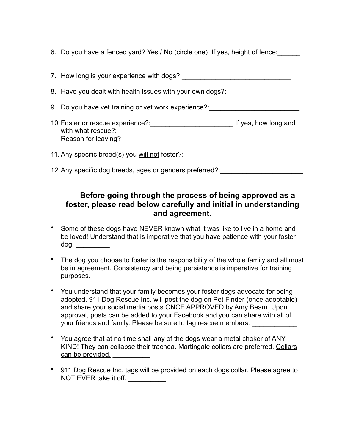6. Do you have a fenced yard? Yes / No (circle one) If yes, height of fence:

| 7. How long is your experience with dogs?:                |                      |
|-----------------------------------------------------------|----------------------|
| 8. Have you dealt with health issues with your own dogs?: |                      |
| 9. Do you have vet training or vet work experience?:      |                      |
| with what rescue?:<br>Reason for leaving?                 | If yes, how long and |
| 11. Any specific breed(s) you will not foster?:           |                      |
| 12. Any specific dog breeds, ages or genders preferred?:  |                      |

### **Before going through the process of being approved as a foster, please read below carefully and initial in understanding and agreement.**

- Some of these dogs have NEVER known what it was like to live in a home and be loved! Understand that is imperative that you have patience with your foster dog. \_\_\_\_\_\_\_\_\_
- The dog you choose to foster is the responsibility of the whole family and all must be in agreement. Consistency and being persistence is imperative for training purposes.
- You understand that your family becomes your foster dogs advocate for being adopted. 911 Dog Rescue Inc. will post the dog on Pet Finder (once adoptable) and share your social media posts ONCE APPROVED by Amy Beam. Upon approval, posts can be added to your Facebook and you can share with all of your friends and family. Please be sure to tag rescue members.
- You agree that at no time shall any of the dogs wear a metal choker of ANY KIND! They can collapse their trachea. Martingale collars are preferred. Collars can be provided.
- 911 Dog Rescue Inc. tags will be provided on each dogs collar. Please agree to NOT EVER take it off. \_\_\_\_\_\_\_\_\_\_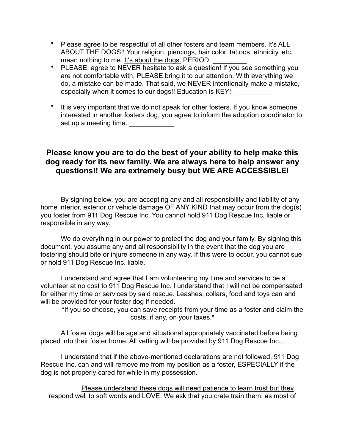- Please agree to be respectful of all other fosters and team members. It's ALL ABOUT THE DOGS!! Your religion, piercings, hair color, tattoos, ethnicity, etc. mean nothing to me. It's about the dogs. PERIOD.
- PLEASE, agree to NEVER hesitate to ask a question! If you see something you are not comfortable with, PLEASE bring it to our attention. With everything we do, a mistake can be made. That said, we NEVER intentionally make a mistake, especially when it comes to our dogs!! Education is KEY!
- It is very important that we do not speak for other fosters. If you know someone interested in another fosters dog, you agree to inform the adoption coordinator to set up a meeting time.

#### **Please know you are to do the best of your ability to help make this dog ready for its new family. We are always here to help answer any questions!! We are extremely busy but WE ARE ACCESSIBLE!**

By signing below, you are accepting any and all responsibility and liability of any home interior, exterior or vehicle damage OF ANY KIND that may occur from the dog(s) you foster from 911 Dog Rescue Inc. You cannot hold 911 Dog Rescue Inc. liable or responsible in any way.

We do everything in our power to protect the dog and your family. By signing this document, you assume any and all responsibility in the event that the dog you are fostering should bite or injure someone in any way. If this were to occur, you cannot sue or hold 911 Dog Rescue Inc. liable.

I understand and agree that I am volunteering my time and services to be a volunteer at no cost to 911 Dog Rescue Inc. I understand that I will not be compensated for either my time or services by said rescue. Leashes, collars, food and toys can and will be provided for your foster dog if needed.

\*If you so choose, you can save receipts from your time as a foster and claim the costs, if any, on your taxes.\*

All foster dogs will be age and situational appropriately vaccinated before being placed into their foster home. All vetting will be provided by 911 Dog Rescue Inc..

I understand that if the above-mentioned declarations are not followed, 911 Dog Rescue Inc. can and will remove me from my position as a foster, ESPECIALLY if the dog is not properly cared for while in my possession.

Please understand these dogs will need patience to learn trust but they respond well to soft words and LOVE. We ask that you crate train them, as most of